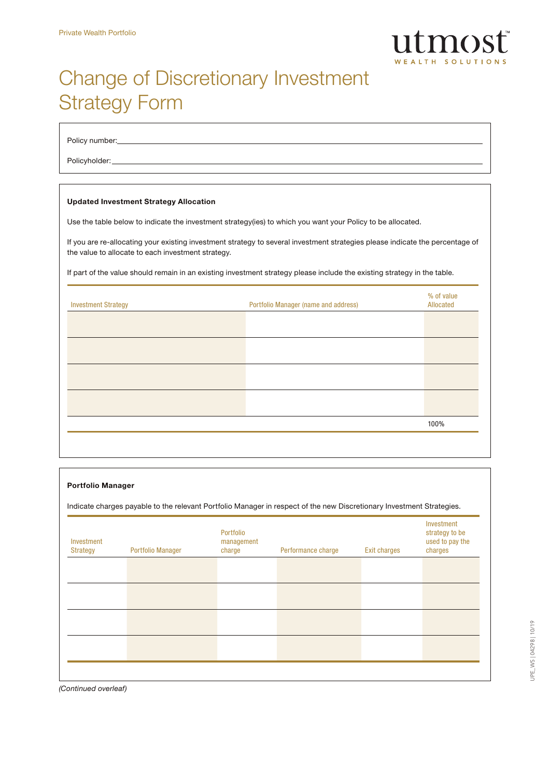

# Change of Discretionary Investment Strategy Form

Policy number:

Policyholder:

### Updated Investment Strategy Allocation

Use the table below to indicate the investment strategy(ies) to which you want your Policy to be allocated.

If you are re-allocating your existing investment strategy to several investment strategies please indicate the percentage of the value to allocate to each investment strategy.

If part of the value should remain in an existing investment strategy please include the existing strategy in the table.

| <b>Investment Strategy</b> | Portfolio Manager (name and address) | % of value<br>Allocated |
|----------------------------|--------------------------------------|-------------------------|
|                            |                                      |                         |
|                            |                                      |                         |
|                            |                                      |                         |
|                            |                                      |                         |
|                            |                                      | 100%                    |
|                            |                                      |                         |

### Portfolio Manager

Indicate charges payable to the relevant Portfolio Manager in respect of the new Discretionary Investment Strategies.

| Investment<br><b>Strategy</b> | <b>Portfolio Manager</b> | Portfolio<br>management<br>charge | Performance charge | <b>Exit charges</b> | Investment<br>strategy to be<br>used to pay the<br>charges |
|-------------------------------|--------------------------|-----------------------------------|--------------------|---------------------|------------------------------------------------------------|
|                               |                          |                                   |                    |                     |                                                            |
|                               |                          |                                   |                    |                     |                                                            |
|                               |                          |                                   |                    |                     |                                                            |
|                               |                          |                                   |                    |                     |                                                            |
|                               |                          |                                   |                    |                     |                                                            |

*(Continued overleaf)*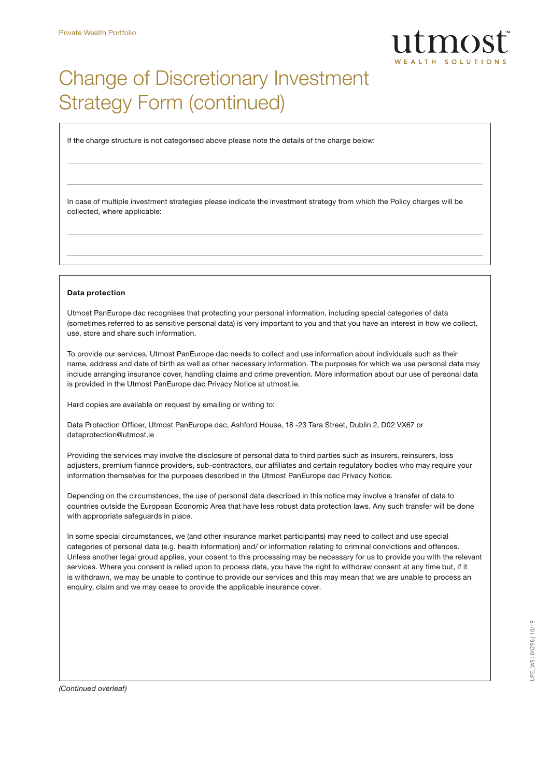

## Change of Discretionary Investment Strategy Form (continued)

If the charge structure is not categorised above please note the details of the charge below:

In case of multiple investment strategies please indicate the investment strategy from which the Policy charges will be collected, where applicable:

#### Data protection

Utmost PanEurope dac recognises that protecting your personal information, including special categories of data (sometimes referred to as sensitive personal data) is very important to you and that you have an interest in how we collect, use, store and share such information.

To provide our services, Utmost PanEurope dac needs to collect and use information about individuals such as their name, address and date of birth as well as other necessary information. The purposes for which we use personal data may include arranging insurance cover, handling claims and crime prevention. More information about our use of personal data is provided in the Utmost PanEurope dac Privacy Notice at utmost.ie.

Hard copies are available on request by emailing or writing to:

Data Protection Officer, Utmost PanEurope dac, Ashford House, 18 -23 Tara Street, Dublin 2, D02 VX67 or dataprotection@utmost.ie

Providing the services may involve the disclosure of personal data to third parties such as insurers, reinsurers, loss adjusters, premium fiannce providers, sub-contractors, our affiliates and certain regulatory bodies who may require your information themselves for the purposes described in the Utmost PanEurope dac Privacy Notice.

Depending on the circumstances, the use of personal data described in this notice may involve a transfer of data to countries outside the European Economic Area that have less robust data protection laws. Any such transfer will be done with appropriate safeguards in place.

In some special circumstances, we (and other insurance market participants) may need to collect and use special categories of personal data (e.g. health information) and/ or information relating to criminal convictions and offences. Unless another legal groud applies, your cosent to this processing may be necessary for us to provide you with the relevant services. Where you consent is relied upon to process data, you have the right to withdraw consent at any time but, if it is withdrawn, we may be unable to continue to provide our services and this may mean that we are unable to process an enquiry, claim and we may cease to provide the applicable insurance cover.

*(Continued overleaf)*